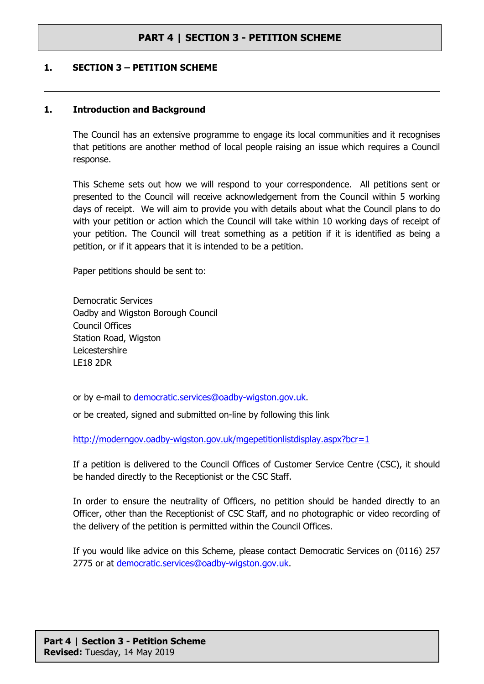### **1. SECTION 3 – PETITION SCHEME**

#### **1. Introduction and Background**

The Council has an extensive programme to engage its local communities and it recognises that petitions are another method of local people raising an issue which requires a Council response.

This Scheme sets out how we will respond to your correspondence. All petitions sent or presented to the Council will receive acknowledgement from the Council within 5 working days of receipt. We will aim to provide you with details about what the Council plans to do with your petition or action which the Council will take within 10 working days of receipt of your petition. The Council will treat something as a petition if it is identified as being a petition, or if it appears that it is intended to be a petition.

Paper petitions should be sent to:

Democratic Services Oadby and Wigston Borough Council Council Offices Station Road, Wigston Leicestershire LE18 2DR

or by e-mail to [democratic.services@oadby-wigston.gov.uk](mailto:democratic.services@oadby-wigston.gov.uk).

or be created, signed and submitted on-line by following this link

<http://moderngov.oadby-wigston.gov.uk/mgepetitionlistdisplay.aspx?bcr=1>

If a petition is delivered to the Council Offices of Customer Service Centre (CSC), it should be handed directly to the Receptionist or the CSC Staff.

In order to ensure the neutrality of Officers, no petition should be handed directly to an Officer, other than the Receptionist of CSC Staff, and no photographic or video recording of the delivery of the petition is permitted within the Council Offices.

If you would like advice on this Scheme, please contact Democratic Services on (0116) 257 2775 or at [democratic.services@oadby-wigston.gov.uk](mailto:democratic.services@oadby-wigston.gov.uk).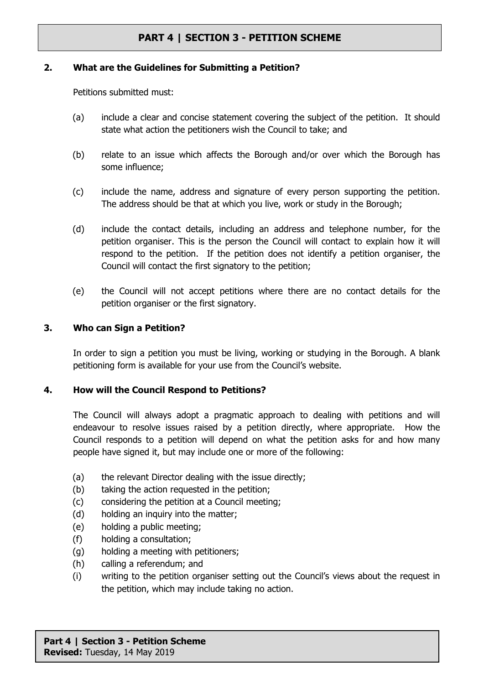#### **2. What are the Guidelines for Submitting a Petition?**

Petitions submitted must:

- (a) include a clear and concise statement covering the subject of the petition. It should state what action the petitioners wish the Council to take; and
- (b) relate to an issue which affects the Borough and/or over which the Borough has some influence;
- (c) include the name, address and signature of every person supporting the petition. The address should be that at which you live, work or study in the Borough;
- (d) include the contact details, including an address and telephone number, for the petition organiser. This is the person the Council will contact to explain how it will respond to the petition. If the petition does not identify a petition organiser, the Council will contact the first signatory to the petition;
- (e) the Council will not accept petitions where there are no contact details for the petition organiser or the first signatory.

### **3. Who can Sign a Petition?**

In order to sign a petition you must be living, working or studying in the Borough. A blank petitioning form is available for your use from the Council's website.

### **4. How will the Council Respond to Petitions?**

The Council will always adopt a pragmatic approach to dealing with petitions and will endeavour to resolve issues raised by a petition directly, where appropriate. How the Council responds to a petition will depend on what the petition asks for and how many people have signed it, but may include one or more of the following:

- (a) the relevant Director dealing with the issue directly;
- (b) taking the action requested in the petition;
- (c) considering the petition at a Council meeting;
- (d) holding an inquiry into the matter;
- (e) holding a public meeting;
- (f) holding a consultation;
- (g) holding a meeting with petitioners;
- (h) calling a referendum; and
- (i) writing to the petition organiser setting out the Council's views about the request in the petition, which may include taking no action.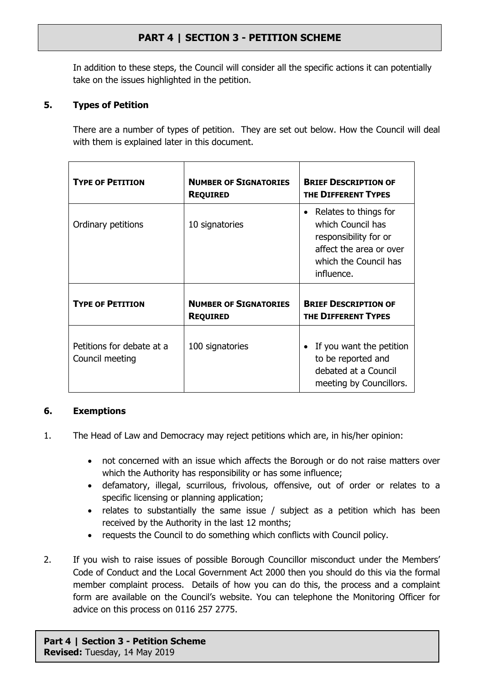In addition to these steps, the Council will consider all the specific actions it can potentially take on the issues highlighted in the petition.

### **5. Types of Petition**

There are a number of types of petition. They are set out below. How the Council will deal with them is explained later in this document.

| <b>TYPE OF PETITION</b>                      | <b>NUMBER OF SIGNATORIES</b><br><b>REQUIRED</b> | <b>BRIEF DESCRIPTION OF</b><br>THE DIFFERENT TYPES                                                                                    |
|----------------------------------------------|-------------------------------------------------|---------------------------------------------------------------------------------------------------------------------------------------|
| Ordinary petitions                           | 10 signatories                                  | Relates to things for<br>which Council has<br>responsibility for or<br>affect the area or over<br>which the Council has<br>influence. |
| <b>TYPE OF PETITION</b>                      | <b>NUMBER OF SIGNATORIES</b><br><b>REQUIRED</b> | <b>BRIEF DESCRIPTION OF</b><br>THE DIFFERENT TYPES                                                                                    |
| Petitions for debate at a<br>Council meeting | 100 signatories                                 | • If you want the petition<br>to be reported and<br>debated at a Council<br>meeting by Councillors.                                   |

### **6. Exemptions**

- 1. The Head of Law and Democracy may reject petitions which are, in his/her opinion:
	- not concerned with an issue which affects the Borough or do not raise matters over which the Authority has responsibility or has some influence;
	- defamatory, illegal, scurrilous, frivolous, offensive, out of order or relates to a specific licensing or planning application;
	- relates to substantially the same issue / subject as a petition which has been received by the Authority in the last 12 months;
	- requests the Council to do something which conflicts with Council policy.
- 2. If you wish to raise issues of possible Borough Councillor misconduct under the Members' Code of Conduct and the Local Government Act 2000 then you should do this via the formal member complaint process. Details of how you can do this, the process and a complaint form are available on the Council's website. You can telephone the Monitoring Officer for advice on this process on 0116 257 2775.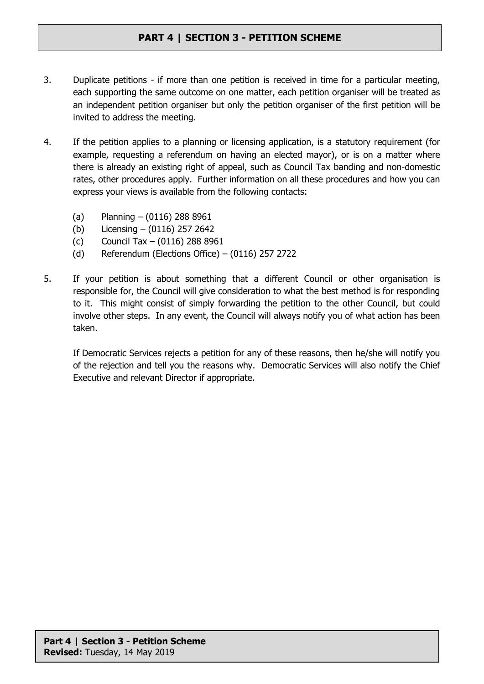- 3. Duplicate petitions if more than one petition is received in time for a particular meeting, each supporting the same outcome on one matter, each petition organiser will be treated as an independent petition organiser but only the petition organiser of the first petition will be invited to address the meeting.
- 4. If the petition applies to a planning or licensing application, is a statutory requirement (for example, requesting a referendum on having an elected mayor), or is on a matter where there is already an existing right of appeal, such as Council Tax banding and non-domestic rates, other procedures apply. Further information on all these procedures and how you can express your views is available from the following contacts:
	- (a) Planning (0116) 288 8961
	- (b) Licensing (0116) 257 2642
	- (c) Council Tax (0116) 288 8961
	- (d) Referendum (Elections Office) (0116) 257 2722
- 5. If your petition is about something that a different Council or other organisation is responsible for, the Council will give consideration to what the best method is for responding to it. This might consist of simply forwarding the petition to the other Council, but could involve other steps. In any event, the Council will always notify you of what action has been taken.

If Democratic Services rejects a petition for any of these reasons, then he/she will notify you of the rejection and tell you the reasons why. Democratic Services will also notify the Chief Executive and relevant Director if appropriate.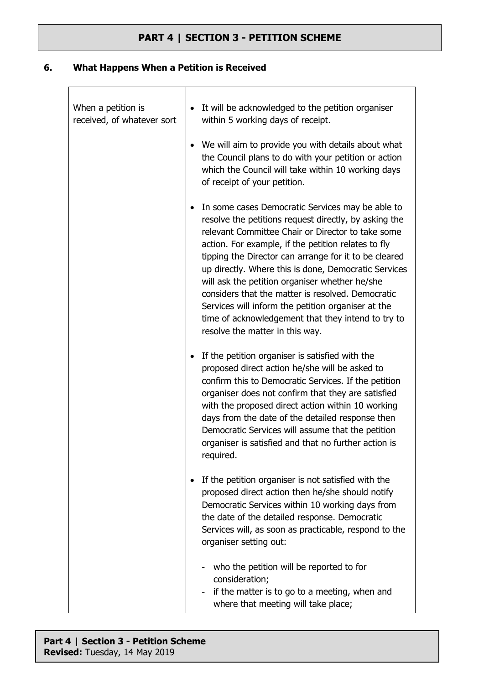### **6. What Happens When a Petition is Received**

 $\overline{1}$ 

| When a petition is<br>received, of whatever sort | It will be acknowledged to the petition organiser<br>within 5 working days of receipt.                                                                                                                                                                                                                                                                                                                                                                                                                                                                                                       |
|--------------------------------------------------|----------------------------------------------------------------------------------------------------------------------------------------------------------------------------------------------------------------------------------------------------------------------------------------------------------------------------------------------------------------------------------------------------------------------------------------------------------------------------------------------------------------------------------------------------------------------------------------------|
|                                                  | We will aim to provide you with details about what<br>the Council plans to do with your petition or action<br>which the Council will take within 10 working days<br>of receipt of your petition.                                                                                                                                                                                                                                                                                                                                                                                             |
|                                                  | In some cases Democratic Services may be able to<br>resolve the petitions request directly, by asking the<br>relevant Committee Chair or Director to take some<br>action. For example, if the petition relates to fly<br>tipping the Director can arrange for it to be cleared<br>up directly. Where this is done, Democratic Services<br>will ask the petition organiser whether he/she<br>considers that the matter is resolved. Democratic<br>Services will inform the petition organiser at the<br>time of acknowledgement that they intend to try to<br>resolve the matter in this way. |
|                                                  | If the petition organiser is satisfied with the<br>proposed direct action he/she will be asked to<br>confirm this to Democratic Services. If the petition<br>organiser does not confirm that they are satisfied<br>with the proposed direct action within 10 working<br>days from the date of the detailed response then<br>Democratic Services will assume that the petition<br>organiser is satisfied and that no further action is<br>required.                                                                                                                                           |
|                                                  | If the petition organiser is not satisfied with the<br>proposed direct action then he/she should notify<br>Democratic Services within 10 working days from<br>the date of the detailed response. Democratic<br>Services will, as soon as practicable, respond to the<br>organiser setting out:                                                                                                                                                                                                                                                                                               |
|                                                  | who the petition will be reported to for<br>consideration;<br>if the matter is to go to a meeting, when and<br>where that meeting will take place;                                                                                                                                                                                                                                                                                                                                                                                                                                           |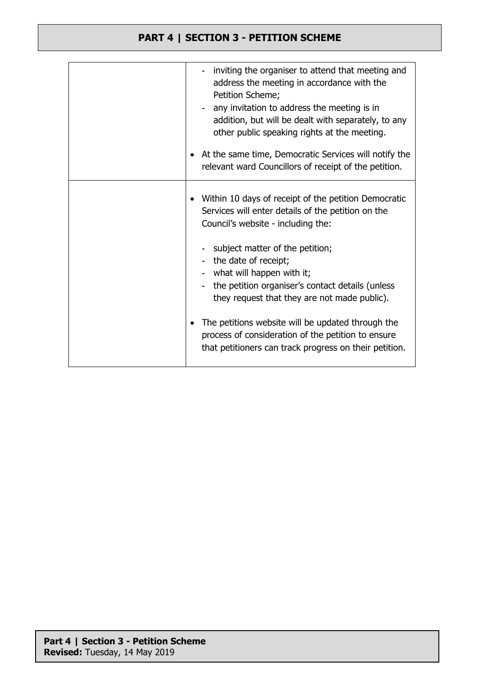| inviting the organiser to attend that meeting and<br>address the meeting in accordance with the<br>Petition Scheme;<br>any invitation to address the meeting is in<br>addition, but will be dealt with separately, to any<br>other public speaking rights at the meeting.<br>At the same time, Democratic Services will notify the<br>relevant ward Councillors of receipt of the petition. |
|---------------------------------------------------------------------------------------------------------------------------------------------------------------------------------------------------------------------------------------------------------------------------------------------------------------------------------------------------------------------------------------------|
| Within 10 days of receipt of the petition Democratic<br>Services will enter details of the petition on the<br>Council's website - including the:                                                                                                                                                                                                                                            |
| - subject matter of the petition;<br>- the date of receipt;<br>- what will happen with it;<br>- the petition organiser's contact details (unless<br>they request that they are not made public).                                                                                                                                                                                            |
| The petitions website will be updated through the<br>process of consideration of the petition to ensure<br>that petitioners can track progress on their petition.                                                                                                                                                                                                                           |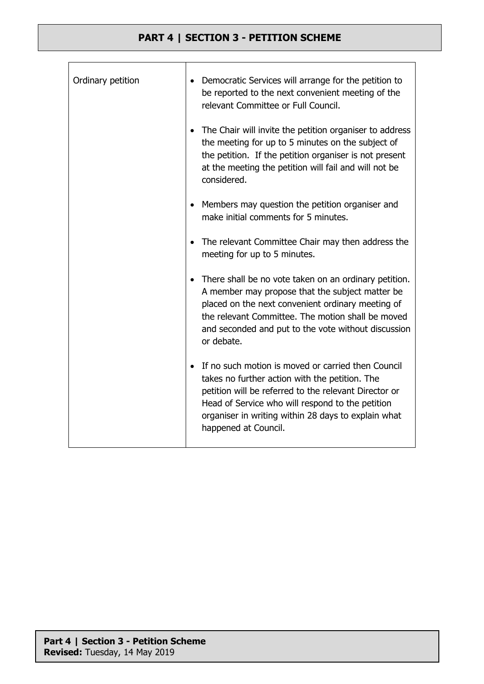| Ordinary petition | Democratic Services will arrange for the petition to<br>$\bullet$<br>be reported to the next convenient meeting of the<br>relevant Committee or Full Council.                                                                                                                                    |
|-------------------|--------------------------------------------------------------------------------------------------------------------------------------------------------------------------------------------------------------------------------------------------------------------------------------------------|
|                   | The Chair will invite the petition organiser to address<br>the meeting for up to 5 minutes on the subject of<br>the petition. If the petition organiser is not present<br>at the meeting the petition will fail and will not be<br>considered.                                                   |
|                   | Members may question the petition organiser and<br>make initial comments for 5 minutes.                                                                                                                                                                                                          |
|                   | The relevant Committee Chair may then address the<br>meeting for up to 5 minutes.                                                                                                                                                                                                                |
|                   | There shall be no vote taken on an ordinary petition.<br>A member may propose that the subject matter be<br>placed on the next convenient ordinary meeting of<br>the relevant Committee. The motion shall be moved<br>and seconded and put to the vote without discussion<br>or debate.          |
|                   | If no such motion is moved or carried then Council<br>takes no further action with the petition. The<br>petition will be referred to the relevant Director or<br>Head of Service who will respond to the petition<br>organiser in writing within 28 days to explain what<br>happened at Council. |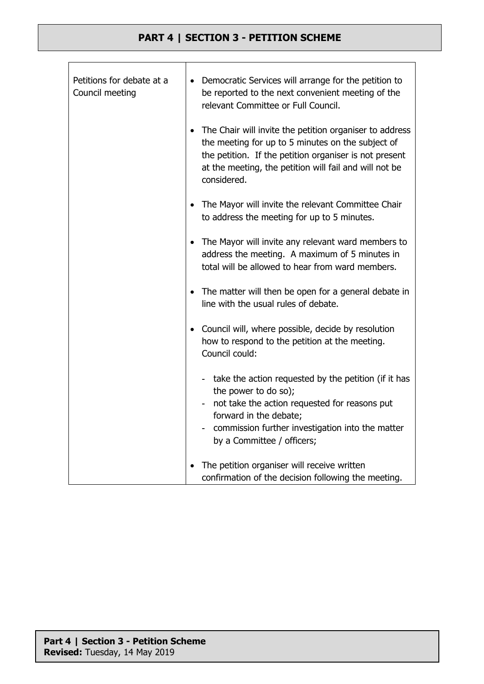Τ

٦

| Petitions for debate at a<br>Council meeting | Democratic Services will arrange for the petition to<br>$\bullet$<br>be reported to the next convenient meeting of the<br>relevant Committee or Full Council.                                                                                   |
|----------------------------------------------|-------------------------------------------------------------------------------------------------------------------------------------------------------------------------------------------------------------------------------------------------|
|                                              | The Chair will invite the petition organiser to address<br>the meeting for up to 5 minutes on the subject of<br>the petition. If the petition organiser is not present<br>at the meeting, the petition will fail and will not be<br>considered. |
|                                              | The Mayor will invite the relevant Committee Chair<br>to address the meeting for up to 5 minutes.                                                                                                                                               |
|                                              | The Mayor will invite any relevant ward members to<br>address the meeting. A maximum of 5 minutes in<br>total will be allowed to hear from ward members.                                                                                        |
|                                              | The matter will then be open for a general debate in<br>$\bullet$<br>line with the usual rules of debate.                                                                                                                                       |
|                                              | Council will, where possible, decide by resolution<br>how to respond to the petition at the meeting.<br>Council could:                                                                                                                          |
|                                              | - take the action requested by the petition (if it has<br>the power to do so);                                                                                                                                                                  |
|                                              | not take the action requested for reasons put<br>forward in the debate;                                                                                                                                                                         |
|                                              | commission further investigation into the matter<br>by a Committee / officers;                                                                                                                                                                  |
|                                              | The petition organiser will receive written<br>confirmation of the decision following the meeting.                                                                                                                                              |

 $\Gamma$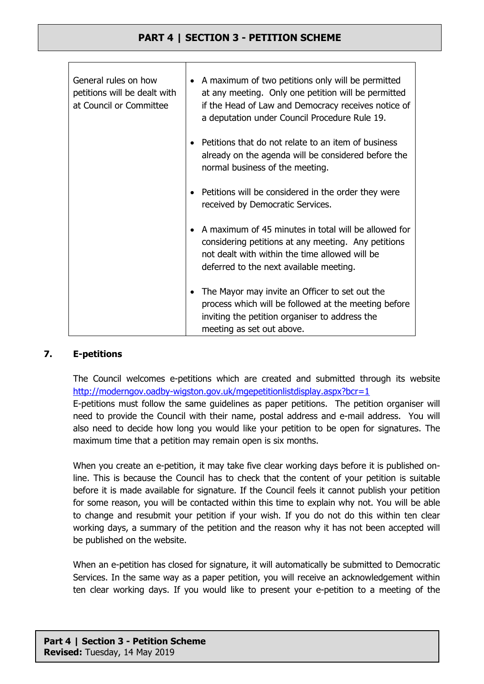| General rules on how<br>petitions will be dealt with<br>at Council or Committee | A maximum of two petitions only will be permitted<br>$\bullet$<br>at any meeting. Only one petition will be permitted<br>if the Head of Law and Democracy receives notice of<br>a deputation under Council Procedure Rule 19. |
|---------------------------------------------------------------------------------|-------------------------------------------------------------------------------------------------------------------------------------------------------------------------------------------------------------------------------|
|                                                                                 | Petitions that do not relate to an item of business<br>already on the agenda will be considered before the<br>normal business of the meeting.                                                                                 |
|                                                                                 | Petitions will be considered in the order they were<br>received by Democratic Services.                                                                                                                                       |
|                                                                                 | A maximum of 45 minutes in total will be allowed for<br>considering petitions at any meeting. Any petitions<br>not dealt with within the time allowed will be<br>deferred to the next available meeting.                      |
|                                                                                 | The Mayor may invite an Officer to set out the<br>$\bullet$<br>process which will be followed at the meeting before<br>inviting the petition organiser to address the<br>meeting as set out above.                            |

### **7. E-petitions**

The Council welcomes e-petitions which are created and submitted through its website <http://moderngov.oadby-wigston.gov.uk/mgepetitionlistdisplay.aspx?bcr=1>

E-petitions must follow the same guidelines as paper petitions. The petition organiser will need to provide the Council with their name, postal address and e-mail address. You will also need to decide how long you would like your petition to be open for signatures. The maximum time that a petition may remain open is six months.

When you create an e-petition, it may take five clear working days before it is published online. This is because the Council has to check that the content of your petition is suitable before it is made available for signature. If the Council feels it cannot publish your petition for some reason, you will be contacted within this time to explain why not. You will be able to change and resubmit your petition if your wish. If you do not do this within ten clear working days, a summary of the petition and the reason why it has not been accepted will be published on the website.

When an e-petition has closed for signature, it will automatically be submitted to Democratic Services. In the same way as a paper petition, you will receive an acknowledgement within ten clear working days. If you would like to present your e-petition to a meeting of the